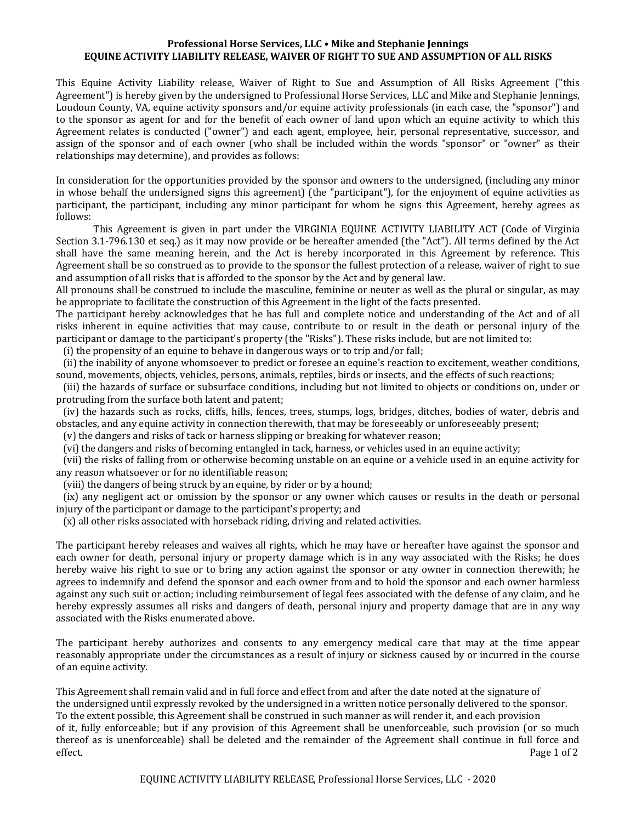## **Professional Horse Services, LLC • Mike and Stephanie Jennings** EQUINE ACTIVITY LIABILITY RELEASE, WAIVER OF RIGHT TO SUE AND ASSUMPTION OF ALL RISKS

This Equine Activity Liability release, Waiver of Right to Sue and Assumption of All Risks Agreement ("this Agreement") is hereby given by the undersigned to Professional Horse Services, LLC and Mike and Stephanie Jennings, Loudoun County, VA, equine activity sponsors and/or equine activity professionals (in each case, the "sponsor") and to the sponsor as agent for and for the benefit of each owner of land upon which an equine activity to which this Agreement relates is conducted ("owner") and each agent, employee, heir, personal representative, successor, and assign of the sponsor and of each owner (who shall be included within the words "sponsor" or "owner" as their relationships may determine), and provides as follows:

In consideration for the opportunities provided by the sponsor and owners to the undersigned, (including any minor in whose behalf the undersigned signs this agreement) (the "participant"), for the enjoyment of equine activities as participant, the participant, including any minor participant for whom he signs this Agreement, hereby agrees as follows:

This Agreement is given in part under the VIRGINIA EQUINE ACTIVITY LIABILITY ACT (Code of Virginia Section 3.1-796.130 et seq.) as it may now provide or be hereafter amended (the "Act"). All terms defined by the Act shall have the same meaning herein, and the Act is hereby incorporated in this Agreement by reference. This Agreement shall be so construed as to provide to the sponsor the fullest protection of a release, waiver of right to sue and assumption of all risks that is afforded to the sponsor by the Act and by general law.

All pronouns shall be construed to include the masculine, feminine or neuter as well as the plural or singular, as may be appropriate to facilitate the construction of this Agreement in the light of the facts presented.

The participant hereby acknowledges that he has full and complete notice and understanding of the Act and of all risks inherent in equine activities that may cause, contribute to or result in the death or personal injury of the participant or damage to the participant's property (the "Risks"). These risks include, but are not limited to:

 $(i)$  the propensity of an equine to behave in dangerous ways or to trip and/or fall;

(ii) the inability of anyone whomsoever to predict or foresee an equine's reaction to excitement, weather conditions, sound, movements, objects, vehicles, persons, animals, reptiles, birds or insects, and the effects of such reactions;

(iii) the hazards of surface or subsurface conditions, including but not limited to objects or conditions on, under or protruding from the surface both latent and patent;

(iv) the hazards such as rocks, cliffs, hills, fences, trees, stumps, logs, bridges, ditches, bodies of water, debris and obstacles, and any equine activity in connection therewith, that may be foreseeably or unforeseeably present;

(v) the dangers and risks of tack or harness slipping or breaking for whatever reason;

(vi) the dangers and risks of becoming entangled in tack, harness, or vehicles used in an equine activity;

(vii) the risks of falling from or otherwise becoming unstable on an equine or a vehicle used in an equine activity for any reason whatsoever or for no identifiable reason;

(viii) the dangers of being struck by an equine, by rider or by a hound;

(ix) any negligent act or omission by the sponsor or any owner which causes or results in the death or personal injury of the participant or damage to the participant's property; and

(x) all other risks associated with horseback riding, driving and related activities.

The participant hereby releases and waives all rights, which he may have or hereafter have against the sponsor and each owner for death, personal injury or property damage which is in any way associated with the Risks; he does hereby waive his right to sue or to bring any action against the sponsor or any owner in connection therewith; he agrees to indemnify and defend the sponsor and each owner from and to hold the sponsor and each owner harmless against any such suit or action; including reimbursement of legal fees associated with the defense of any claim, and he hereby expressly assumes all risks and dangers of death, personal injury and property damage that are in any way associated with the Risks enumerated above.

The participant hereby authorizes and consents to any emergency medical care that may at the time appear reasonably appropriate under the circumstances as a result of injury or sickness caused by or incurred in the course of an equine activity.

This Agreement shall remain valid and in full force and effect from and after the date noted at the signature of the undersigned until expressly revoked by the undersigned in a written notice personally delivered to the sponsor. To the extent possible, this Agreement shall be construed in such manner as will render it, and each provision of it, fully enforceable; but if any provision of this Agreement shall be unenforceable, such provision (or so much thereof as is unenforceable) shall be deleted and the remainder of the Agreement shall continue in full force and effect. Page 1 of 2